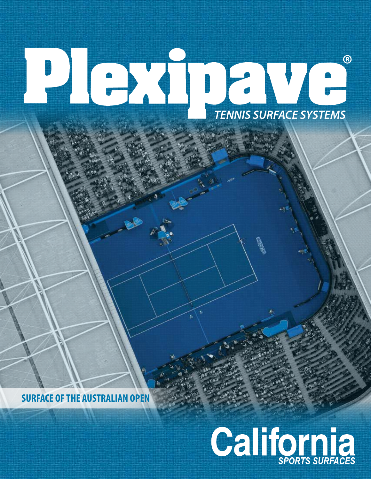# *TENNIS SURFACE SYSTEMS* **®**

**SURFACE OF THE AUSTRALIAN OPEN**

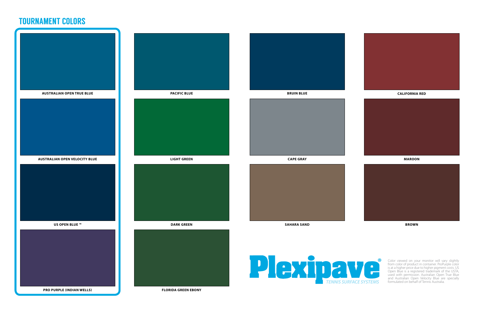



#### **CALIFORNIA RED**

#### **MAROON**



#### **BROWN**



Color viewed on your monitor will vary slightly from color of product in container. ProPurple color is at a higher price due to higher pigment costs. US Open Blue is a registered trademark of the USTA, used with permission. Australian Open True Blue and Australian Open Velocity Blue are specially **TENNIS SURFACE SYSTEMS** formulated on behalf of Tennis Australia.

## TOURNAMENT COLORS